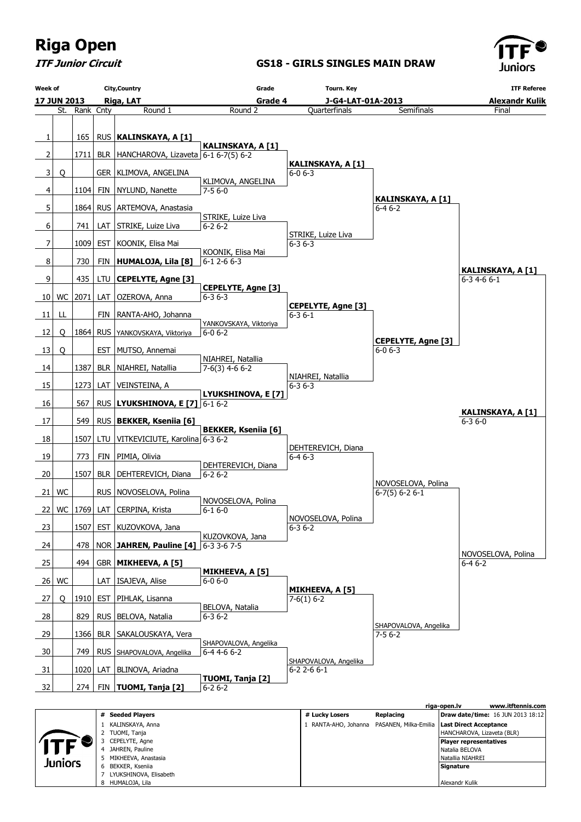

 Natalia BELOVA Natallia NIAHREI **Signature** Alexandr Kulik

ITF Junior Circuit

4 JAHREN, Pauline 5 MIKHEEVA, Anastasia 6 BEKKER, Kseniia 7 LYUKSHINOVA, Elisabeth 8 HUMALOJA, Lila

Juniors

GS18 - GIRLS SINGLES MAIN DRAW

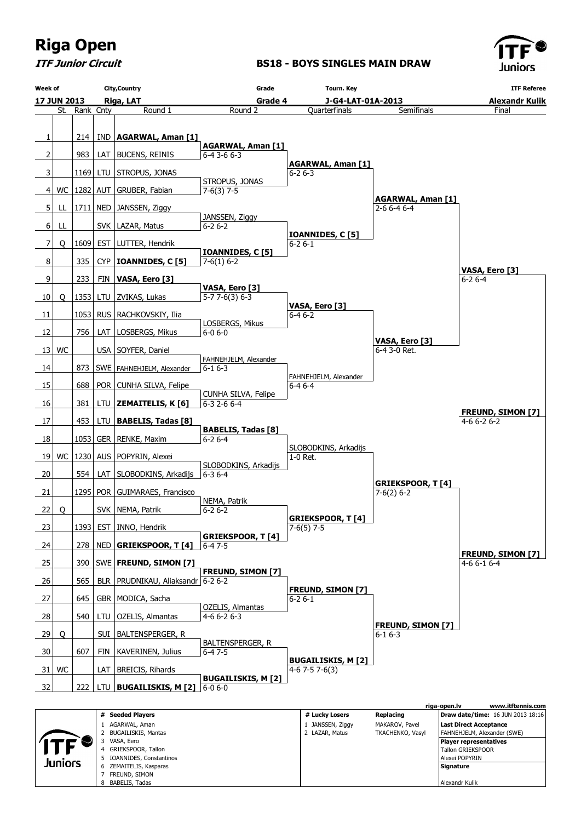

ITF Junior Circuit

#### BS18 - BOYS SINGLES MAIN DRAW



|         | Seeueu Flavel S         | <b>H</b> LUCKY LUSELS | REDIGUIIU        | <b>Diaw gate/time.</b> To JON 2013 10.10 |
|---------|-------------------------|-----------------------|------------------|------------------------------------------|
|         | AGARWAL, Aman           | JANSSEN, Ziggy        | MAKAROV, Pavel   | Last Direct Acceptance                   |
|         | BUGAILISKIS, Mantas     | 2 LAZAR, Matus        | TKACHENKO, Vasyl | FAHNEHJELM, Alexander (SWE)              |
|         | VASA, Eero              |                       |                  | Player representatives                   |
|         | GRIEKSPOOR, Tallon      |                       |                  | <b>Tallon GRIEKSPOOR</b>                 |
|         | IOANNIDES, Constantinos |                       |                  | Alexei POPYRIN                           |
| Juniors | ZEMAITELIS, Kasparas    |                       |                  | Signature                                |
|         | FREUND, SIMON           |                       |                  |                                          |
|         | BABELIS, Tadas          |                       |                  | Alexandr Kulik                           |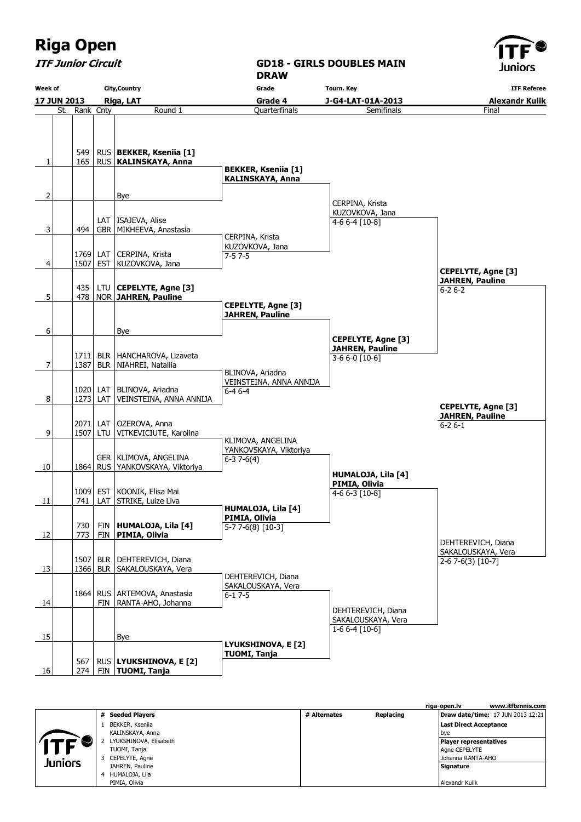9

| <b>ITF Junior Circuit</b>              |               |                          |                                                                | <b>DRAW</b>                                                 | <b>GD18 - GIRLS DOUBLES MAIN</b>                                      | , , ,<br>Juniors                                                    |  |
|----------------------------------------|---------------|--------------------------|----------------------------------------------------------------|-------------------------------------------------------------|-----------------------------------------------------------------------|---------------------------------------------------------------------|--|
| <b>City, Country</b><br><b>Week of</b> |               |                          | Grade                                                          | <b>Tourn. Key</b>                                           | <b>ITF Referee</b>                                                    |                                                                     |  |
| 17 JUN 2013                            |               |                          | Riga, LAT                                                      | Grade 4                                                     | J-G4-LAT-01A-2013                                                     | <b>Alexandr Kulik</b>                                               |  |
|                                        | St. Rank Cnty |                          | Round 1                                                        | Quarterfinals                                               | Semifinals                                                            | Final                                                               |  |
| 1                                      | 549<br>165    |                          | RUS   BEKKER, Kseniia [1]<br>RUS   KALINSKAYA, Anna            | <b>BEKKER, Kseniia [1]</b>                                  |                                                                       |                                                                     |  |
| 2                                      |               |                          | Bye                                                            | <b>KALINSKAYA, Anna</b>                                     |                                                                       |                                                                     |  |
|                                        |               |                          |                                                                |                                                             | CERPINA, Krista<br>KUZOVKOVA, Jana                                    |                                                                     |  |
| 3                                      | 494           | GBR                      | LAT   ISAJEVA, Alise<br>MIKHEEVA, Anastasia                    | CERPINA, Krista                                             | 4-6 6-4 [10-8]                                                        |                                                                     |  |
| 4                                      | 1769<br>1507  | LAT<br><b>EST</b>        | CERPINA, Krista<br>KUZOVKOVA, Jana                             | KUZOVKOVA, Jana<br>$7 - 57 - 5$                             |                                                                       |                                                                     |  |
|                                        | 435           | LTU                      | CEPELYTE, Agne [3]                                             |                                                             |                                                                       | <b>CEPELYTE, Agne [3]</b><br><b>JAHREN, Pauline</b><br>$6 - 26 - 2$ |  |
| 5                                      | 478           |                          | NOR JAHREN, Pauline                                            | <b>CEPELYTE, Agne [3]</b><br><b>JAHREN, Pauline</b>         |                                                                       |                                                                     |  |
| 6                                      |               |                          | Bye                                                            |                                                             |                                                                       |                                                                     |  |
|                                        |               |                          | 1711   BLR   HANCHAROVA, Lizaveta                              |                                                             | <b>CEPELYTE, Agne [3]</b><br><b>JAHREN, Pauline</b><br>3-6 6-0 [10-6] |                                                                     |  |
| 7                                      | 1387<br>1020  | LAT                      | BLR   NIAHREI, Natallia<br>BLINOVA, Ariadna                    | BLINOVA, Ariadna<br>VEINSTEINA, ANNA ANNIJA<br>$6 - 46 - 4$ |                                                                       |                                                                     |  |
| 8                                      | 1273          | LAT                      | VEINSTEINA, ANNA ANNIJA                                        |                                                             |                                                                       | <b>CEPELYTE, Agne [3]</b><br><b>JAHREN, Pauline</b>                 |  |
| 9                                      | 2071<br>1507  | LAT<br>LTU               | OZEROVA, Anna<br>VITKEVICIUTE, Karolina                        | KLIMOVA, ANGELINA                                           |                                                                       | $6 - 26 - 1$                                                        |  |
| 10                                     |               |                          | GER   KLIMOVA, ANGELINA<br>1864   RUS   YANKOVSKAYA, Viktoriya | YANKOVSKAYA, Viktoriya<br>$6-37-6(4)$                       | HUMALOJA, Lila [4]                                                    |                                                                     |  |
| 11                                     | 741           |                          | 1009 EST KOONIK, Elisa Mai<br>LAT STRIKE, Luize Liva           |                                                             | PIMIA, Olivia<br>$4-66-3$ [10-8]                                      |                                                                     |  |
|                                        | 730           | FIN                      | HUMALOJA, Lila [4]                                             | HUMALOJA, Lila [4]<br>PIMIA, Olivia                         |                                                                       |                                                                     |  |
| 12                                     | 773           | <b>FIN</b>               | PIMIA, Olivia                                                  | $5-77-6(8)$ [10-3]                                          |                                                                       | DEHTEREVICH, Diana                                                  |  |
| 13                                     | 1507          | <b>BLR</b><br>$1366$ BLR | DEHTEREVICH, Diana<br>SAKALOUSKAYA, Vera                       |                                                             |                                                                       | SAKALOUSKAYA, Vera<br>$2-67-6(3)$ [10-7]                            |  |
| 14                                     |               | FIN                      | 1864 RUS   ARTEMOVA, Anastasia<br>RANTA-AHO, Johanna           | DEHTEREVICH, Diana<br>SAKALOUSKAYA, Vera<br>$6 - 17 - 5$    |                                                                       |                                                                     |  |
| 15                                     |               |                          | Bye                                                            |                                                             | DEHTEREVICH, Diana<br>SAKALOUSKAYA, Vera<br>1-6 6-4 [10-6]            |                                                                     |  |
| 16                                     | 567<br>274    |                          | RUS   LYUKSHINOVA, E [2]<br>FIN TUOMI, Tanja                   | LYUKSHINOVA, E [2]<br><b>TUOMI, Tanja</b>                   |                                                                       |                                                                     |  |

|         |                        |              |           | www.itftennis.com<br>riga-open.lv |
|---------|------------------------|--------------|-----------|-----------------------------------|
|         | # Seeded Players       | # Alternates | Replacing | Draw date/time: 17 JUN 2013 12:21 |
|         | BEKKER, Kseniia        |              |           | Last Direct Acceptance            |
|         | KALINSKAYA, Anna       |              |           | bye                               |
|         | LYUKSHINOVA, Elisabeth |              |           | Player representatives            |
|         | TUOMI, Tanja           |              |           | Agne CEPELYTE                     |
| Juniors | 3 CEPELYTE, Agne       |              |           | Johanna RANTA-AHO                 |
|         | JAHREN, Pauline        |              |           | Signature                         |
|         | 4 HUMALOJA, Lila       |              |           |                                   |
|         | PIMIA, Olivia          |              |           | Alexandr Kulik                    |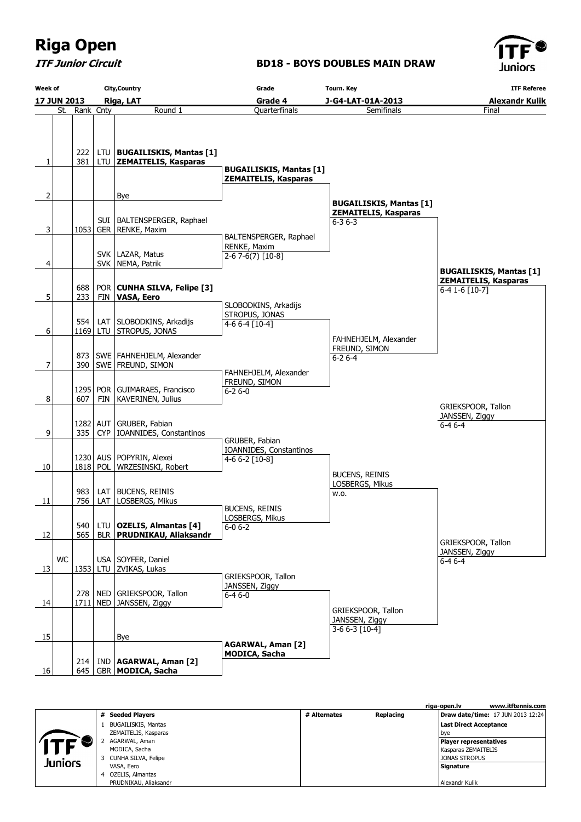ITF Junior Circuit

#### BD18 - BOYS DOUBLES MAIN DRAW



| Week of |    |                                            |  | <b>City, Country</b>                                           | Grade                                                         | <b>Tourn. Key</b>                                             | <b>ITF Referee</b>                                                              |
|---------|----|--------------------------------------------|--|----------------------------------------------------------------|---------------------------------------------------------------|---------------------------------------------------------------|---------------------------------------------------------------------------------|
|         |    | Riga, LAT<br><b>17 JUN 2013</b><br>Grade 4 |  | J-G4-LAT-01A-2013                                              | <b>Alexandr Kulik</b>                                         |                                                               |                                                                                 |
|         |    | St. Rank Cnty                              |  | Round 1                                                        | Quarterfinals                                                 | Semifinals                                                    | Final                                                                           |
| 1       |    | 222<br>381                                 |  | LTU   BUGAILISKIS, Mantas [1]<br>LTU ZEMAITELIS, Kasparas      | <b>BUGAILISKIS, Mantas [1]</b><br><b>ZEMAITELIS, Kasparas</b> |                                                               |                                                                                 |
|         |    |                                            |  |                                                                |                                                               |                                                               |                                                                                 |
| 2       |    |                                            |  | Bye                                                            |                                                               | <b>BUGAILISKIS, Mantas [1]</b><br><b>ZEMAITELIS, Kasparas</b> |                                                                                 |
| 3       |    |                                            |  | SUI   BALTENSPERGER, Raphael<br>1053 GER RENKE, Maxim          |                                                               | $6 - 36 - 3$                                                  |                                                                                 |
| 4       |    |                                            |  | SVK   LAZAR, Matus<br>SVK   NEMA, Patrik                       | BALTENSPERGER, Raphael<br>RENKE, Maxim<br>$2-67-6(7)$ [10-8]  |                                                               |                                                                                 |
|         |    | 688                                        |  | POR CUNHA SILVA, Felipe [3]                                    |                                                               |                                                               | <b>BUGAILISKIS, Mantas [1]</b><br><b>ZEMAITELIS, Kasparas</b><br>6-4 1-6 [10-7] |
| 5       |    | 233                                        |  | FIN   VASA, Eero                                               | SLOBODKINS, Arkadijs                                          |                                                               |                                                                                 |
|         |    | 554                                        |  | LAT   SLOBODKINS, Arkadijs                                     | STROPUS, JONAS<br>4-6 6-4 [10-4]                              |                                                               |                                                                                 |
| 6       |    |                                            |  | 1169 LTU STROPUS, JONAS                                        |                                                               | FAHNEHJELM, Alexander                                         |                                                                                 |
| 7       |    |                                            |  | 873   SWE   FAHNEHJELM, Alexander<br>390   SWE   FREUND, SIMON |                                                               | FREUND, SIMON<br>$6 - 26 - 4$                                 |                                                                                 |
|         |    |                                            |  |                                                                | FAHNEHJELM, Alexander<br>FREUND, SIMON                        |                                                               |                                                                                 |
| 8       |    | 607                                        |  | 1295   POR   GUIMARAES, Francisco<br>FIN   KAVERINEN, Julius   | $6 - 26 - 0$                                                  |                                                               | GRIEKSPOOR, Tallon                                                              |
| 9       |    | 335                                        |  | 1282 AUT GRUBER, Fabian<br>CYP   IOANNIDES, Constantinos       |                                                               |                                                               | JANSSEN, Ziggy<br>$6 - 46 - 4$                                                  |
|         |    |                                            |  |                                                                | GRUBER, Fabian<br>IOANNIDES, Constantinos                     |                                                               |                                                                                 |
| 10      |    |                                            |  | 1230 AUS   POPYRIN, Alexei<br>1818 POL WRZESINSKI, Robert      | 4-6 6-2 [10-8]                                                |                                                               |                                                                                 |
|         |    |                                            |  |                                                                |                                                               | <b>BUCENS, REINIS</b><br>LOSBERGS, Mikus                      |                                                                                 |
| 11      |    | 983<br>756                                 |  | LAT   BUCENS, REINIS<br>LAT   LOSBERGS, Mikus                  |                                                               | w.o.                                                          |                                                                                 |
| 12      |    | 540<br>565                                 |  | LTU   OZELIS, Almantas [4]<br>BLR   PRUDNIKAU, Aliaksandr      | <b>BUCENS, REINIS</b><br>LOSBERGS, Mikus<br>$6 - 06 - 2$      |                                                               |                                                                                 |
|         | WC |                                            |  | USA   SOYFER, Daniel                                           |                                                               |                                                               | GRIEKSPOOR, Tallon<br>JANSSEN, Ziggy                                            |
| 13      |    | 1353                                       |  | LTU   ZVIKAS, Lukas                                            |                                                               |                                                               | $6 - 46 - 4$                                                                    |
| 14      |    |                                            |  | 278   NED   GRIEKSPOOR, Tallon<br>1711   NED   JANSSEN, Ziggy  | GRIEKSPOOR, Tallon<br>JANSSEN, Ziggy<br>$6 - 46 - 0$          |                                                               |                                                                                 |
|         |    |                                            |  |                                                                |                                                               | GRIEKSPOOR, Tallon<br>JANSSEN, Ziggy                          |                                                                                 |
| 15      |    |                                            |  | Bye                                                            |                                                               | 3-6 6-3 [10-4]                                                |                                                                                 |
| 16      |    | 214                                        |  | IND   AGARWAL, Aman [2]<br>645   GBR   MODICA, Sacha           | <b>AGARWAL, Aman [2]</b><br><b>MODICA, Sacha</b>              |                                                               |                                                                                 |

|                |                            |              |           | riga-open.lv                  | www.itftennis.com                        |
|----------------|----------------------------|--------------|-----------|-------------------------------|------------------------------------------|
|                | # Seeded Players           | # Alternates | Replacing |                               | <b>Draw date/time: 17 JUN 2013 12:24</b> |
|                | <b>BUGAILISKIS, Mantas</b> |              |           | <b>Last Direct Acceptance</b> |                                          |
|                | ZEMAITELIS, Kasparas       |              |           | l bye                         |                                          |
|                | AGARWAL, Aman              |              |           | Player representatives        |                                          |
|                | MODICA, Sacha              |              |           | Kasparas ZEMAITELIS           |                                          |
| <b>Juniors</b> | 3 CUNHA SILVA, Felipe      |              |           | <b>JONAS STROPUS</b>          |                                          |
|                | VASA, Eero                 |              |           | <b>Signature</b>              |                                          |
|                | 4 OZELIS, Almantas         |              |           |                               |                                          |
|                | PRUDNIKAU, Aliaksandr      |              |           | Alexandr Kulik                |                                          |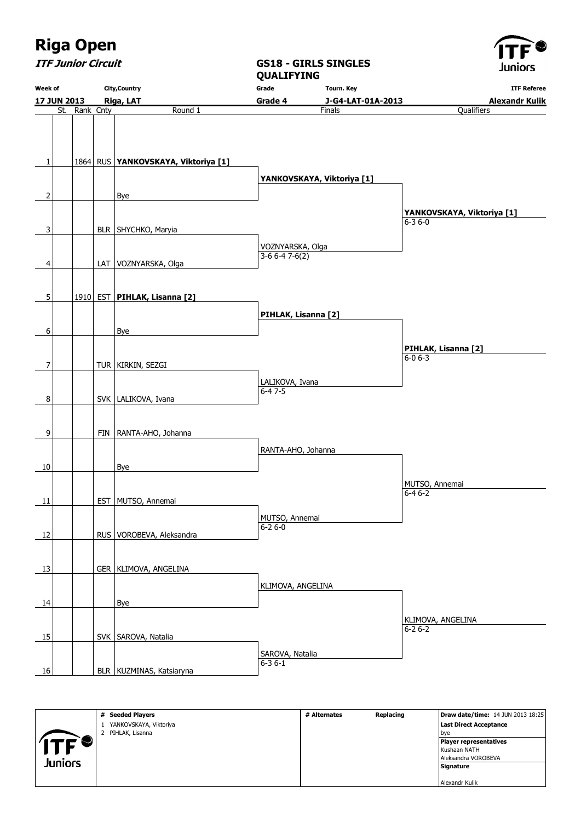

ITF Junior Circuit

Week of 17 JUN 2013 City,Country Riga, LAT QUALIFYING Grade Grade 4 Tourn. Key J-G4-LAT-01A-2013 ITF Referee Alexandr Kulik St. Rank Cnty Round 1  $1$  | 1864 RUS YANKOVSKAYA, Viktoriya [1]  $2$  Bye 3 | BLR SHYCHKO, Maryia 4 | LAT VOZNYARSKA, Olga  $\vert$ 5 | 1910 EST **PIHLAK, Lisanna [2]** 6 | | | | Bye 7 | | TUR | KIRKIN, SEZGI 8 SVK LALIKOVA, Ivana 9 | FIN RANTA-AHO, Johanna 10 Bye 11 | EST MUTSO, Annemai 12 | RUS VOROBEVA, Aleksandra 13 GER | KLIMOVA, ANGELINA 14 | Bye 15 SVK SAROVA, Natalia 16 | BLR KUZMINAS, Katsiaryna **Finals**  YANKOVSKAYA, Viktoriya [1] VOZNYARSKA, Olga 3-6 6-4 7-6(2) PIHLAK, Lisanna [2] LALIKOVA, Ivana 6-4 7-5 RANTA-AHO, Johanna MUTSO, Annemai  $6 - 26 - 0$  KLIMOVA, ANGELINA SAROVA, Natalia 6-3 6-1 **Qualifiers**  YANKOVSKAYA, Viktoriya [1] 6-3 6-0 PIHLAK, Lisanna [2]  $6 - 06 - 3$  MUTSO, Annemai 6-4 6-2 KLIMOVA, ANGELINA 6-2 6-2

GS18 - GIRLS SINGLES

|           | # Seeded Players       | # Alternates | Replacing | <b>Draw date/time: 14 JUN 2013 18:25</b> |
|-----------|------------------------|--------------|-----------|------------------------------------------|
|           | YANKOVSKAYA, Viktoriya |              |           | Last Direct Acceptance                   |
|           | 2 PIHLAK, Lisanna      |              |           | bve                                      |
| ITF'<br>❤ |                        |              |           | Player representatives                   |
|           |                        |              |           | Kushaan NATH                             |
|           |                        |              |           | Aleksandra VOROBEVA                      |
| Juniors   |                        |              |           | Signature                                |
|           |                        |              |           |                                          |
|           |                        |              |           | Alexandr Kulik                           |